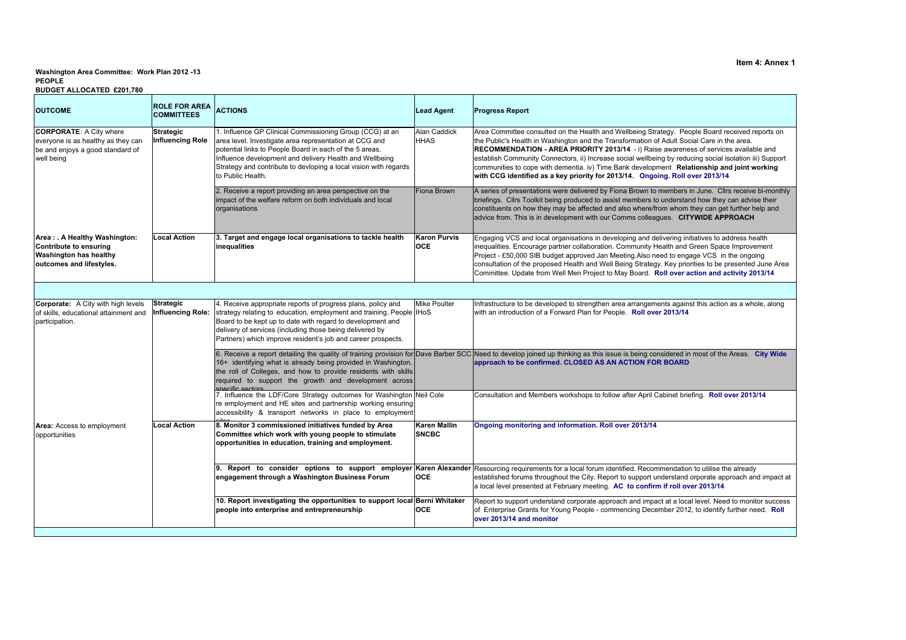## **PEOPLEWashington Area Committee: Work Plan 2012 -13**

## **BUDGET ALLOCATED £201,780**

| Area Committee consulted on the Health and Wellbeing Strategy. People Board received reports on<br>the Public's Health in Washington and the Transformation of Adult Social Care in the area.<br>RECOMMENDATION - AREA PRIORITY 2013/14 - i) Raise awareness of services available and<br>establish Community Connectors, ii) Increase social wellbeing by reducing social isolation iii) Support<br>communities to cope with dementia. iv) Time Bank development Relationship and joint working   |  |  |  |  |  |
|----------------------------------------------------------------------------------------------------------------------------------------------------------------------------------------------------------------------------------------------------------------------------------------------------------------------------------------------------------------------------------------------------------------------------------------------------------------------------------------------------|--|--|--|--|--|
| A series of presentations were delivered by Fiona Brown to members in June. Cllrs receive bi-monthly<br>briefings. Cllrs Toolkit being produced to assist members to understand how they can advise their<br>constituents on how they may be affected and also where/from whom they can get further help and<br>advice from. This is in development with our Comms colleagues. CITYWIDE APPROACH                                                                                                   |  |  |  |  |  |
| Engaging VCS and local organisations in developing and delivering initiatives to address health<br>inequalities. Encourage partner collaboration. Community Health and Green Space Improvement<br>Project - £50,000 SIB budget approved Jan Meeting.Also need to engage VCS in the ongoing<br>consultation of the proposed Health and Well Being Strategy. Key priorities to be presented June Area<br>Committee. Update from Well Men Project to May Board. Roll over action and activity 2013/14 |  |  |  |  |  |
|                                                                                                                                                                                                                                                                                                                                                                                                                                                                                                    |  |  |  |  |  |
| Infrastructure to be developed to strengthen area arrangements against this action as a whole, along                                                                                                                                                                                                                                                                                                                                                                                               |  |  |  |  |  |
| 6. Receive a report detailing the quality of training provision for Dave Barber SCC Need to develop joined up thinking as this issue is being considered in most of the Areas. City Wide                                                                                                                                                                                                                                                                                                           |  |  |  |  |  |
| Consultation and Members workshops to follow after April Cabinet briefing. Roll over 2013/14                                                                                                                                                                                                                                                                                                                                                                                                       |  |  |  |  |  |
|                                                                                                                                                                                                                                                                                                                                                                                                                                                                                                    |  |  |  |  |  |
| 9. Report to consider options to support employer Karen Alexander Resourcing requirements for a local forum identified. Recommendation to utilise the already<br>established forums throughout the City. Report to support understand orporate approach and impact at                                                                                                                                                                                                                              |  |  |  |  |  |
| Report to support understand corporate approach and impact at a local level. Need to monitor success<br>of Enterprise Grants for Young People - commencing December 2012, to identify further need. Roll                                                                                                                                                                                                                                                                                           |  |  |  |  |  |
|                                                                                                                                                                                                                                                                                                                                                                                                                                                                                                    |  |  |  |  |  |